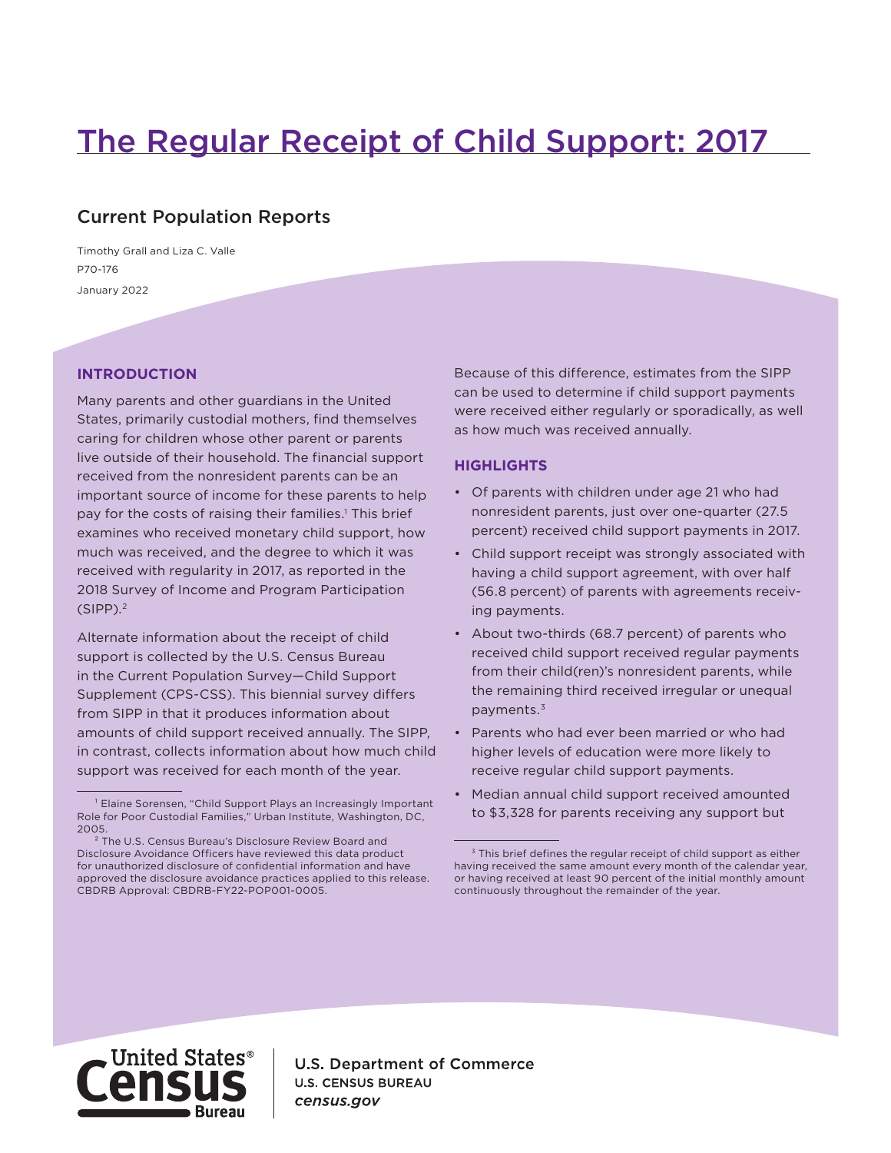# The Regular Receipt of Child Support: 2017

## Current Population Reports

January 2022 P70-176 Timothy Grall and Liza C. Valle

## **INTRODUCTION**

Many parents and other guardians in the United States, primarily custodial mothers, find themselves caring for children whose other parent or parents live outside of their household. The financial support received from the nonresident parents can be an important source of income for these parents to help pay for the costs of raising their families.1 This brief examines who received monetary child support, how much was received, and the degree to which it was received with regularity in 2017, as reported in the 2018 Survey of Income and Program Participation  $(SIPP).<sup>2</sup>$ 

Alternate information about the receipt of child support is collected by the U.S. Census Bureau in the Current Population Survey—Child Support Supplement (CPS-CSS). This biennial survey differs from SIPP in that it produces information about amounts of child support received annually. The SIPP, in contrast, collects information about how much child support was received for each month of the year.

Because of this difference, estimates from the SIPP can be used to determine if child support payments were received either regularly or sporadically, as well as how much was received annually.

## **HIGHLIGHTS**

- Of parents with children under age 21 who had nonresident parents, just over one-quarter (27.5 percent) received child support payments in 2017.
- Child support receipt was strongly associated with having a child support agreement, with over half (56.8 percent) of parents with agreements receiving payments.
- About two-thirds (68.7 percent) of parents who received child support received regular payments from their child(ren)'s nonresident parents, while the remaining third received irregular or unequal payments.3
- Parents who had ever been married or who had higher levels of education were more likely to receive regular child support payments.
- Median annual child support received amounted to \$3,328 for parents receiving any support but



**U.S. Department of Commerce U.S. CENSUS BUREAU** census.gov

<sup>&</sup>lt;sup>1</sup> Elaine Sorensen, "Child Support Plays an Increasingly Important Role for Poor Custodial Families," Urban Institute, Washington, DC, 2005.

² The U.S. Census Bureau's Disclosure Review Board and Disclosure Avoidance Officers have reviewed this data product for unauthorized disclosure of confidential information and have approved the disclosure avoidance practices applied to this release. CBDRB Approval: CBDRB-FY22-POP001-0005.

<sup>&</sup>lt;sup>3</sup> This brief defines the regular receipt of child support as either having received the same amount every month of the calendar year, or having received at least 90 percent of the initial monthly amount continuously throughout the remainder of the year.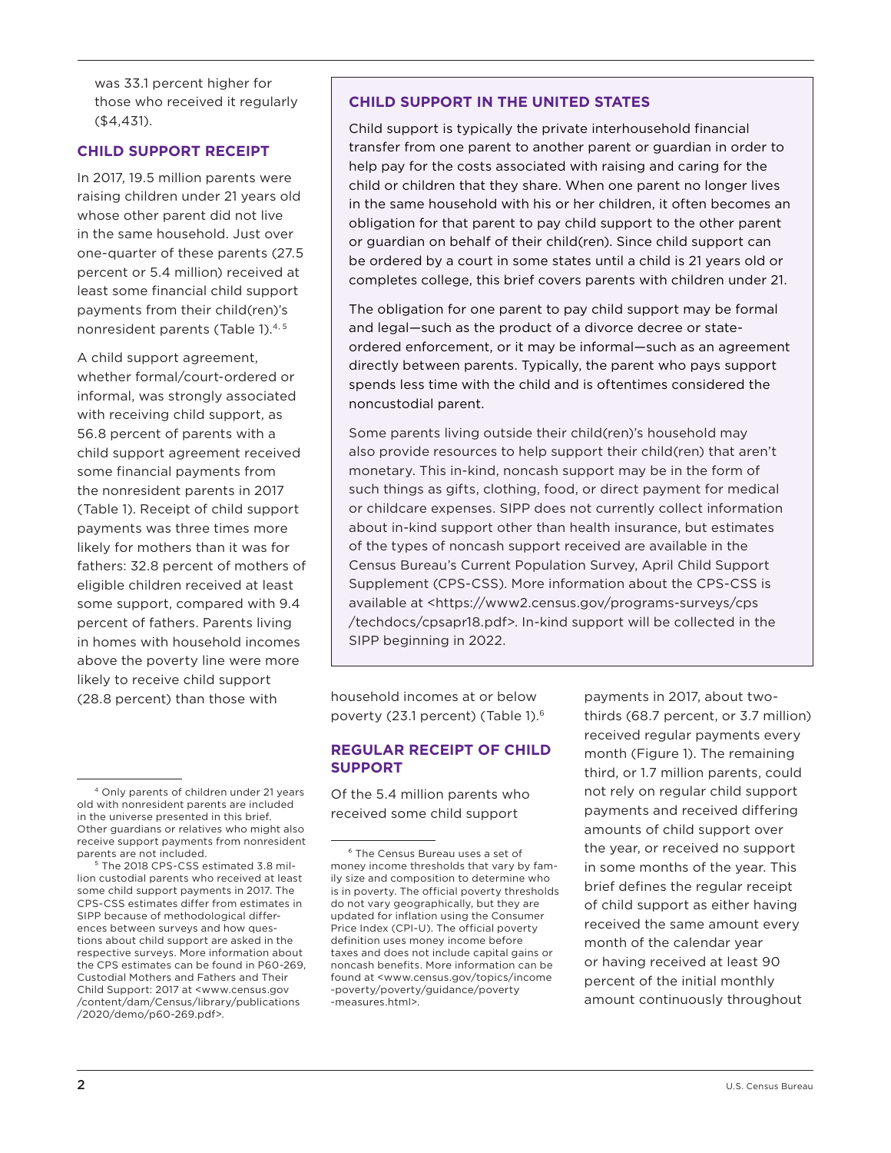was 33.1 percent higher for those who received it regularly (\$4,431).

## **CHILD SUPPORT RECEIPT**

In 2017, 19.5 million parents were raising children under 21 years old whose other parent did not live in the same household. Just over one-quarter of these parents (27.5 percent or 5.4 million) received at least some financial child support payments from their child(ren)'s nonresident parents (Table 1).<sup>4, 5</sup>

A child support agreement, whether formal/court-ordered or informal, was strongly associated with receiving child support, as 56.8 percent of parents with a child support agreement received some financial payments from the nonresident parents in 2017 (Table 1). Receipt of child support payments was three times more likely for mothers than it was for fathers: 32.8 percent of mothers of eligible children received at least some support, compared with 9.4 percent of fathers. Parents living in homes with household incomes above the poverty line were more likely to receive child support (28.8 percent) than those with

## **CHILD SUPPORT IN THE UNITED STATES**

Child support is typically the private interhousehold financial transfer from one parent to another parent or guardian in order to help pay for the costs associated with raising and caring for the child or children that they share. When one parent no longer lives in the same household with his or her children, it often becomes an obligation for that parent to pay child support to the other parent or guardian on behalf of their child(ren). Since child support can be ordered by a court in some states until a child is 21 years old or completes college, this brief covers parents with children under 21.

The obligation for one parent to pay child support may be formal and legal—such as the product of a divorce decree or stateordered enforcement, or it may be informal—such as an agreement directly between parents. Typically, the parent who pays support spends less time with the child and is oftentimes considered the noncustodial parent.

Some parents living outside their child(ren)'s household may also provide resources to help support their child(ren) that aren't monetary. This in-kind, noncash support may be in the form of such things as gifts, clothing, food, or direct payment for medical or childcare expenses. SIPP does not currently collect information about in-kind support other than health insurance, but estimates of the types of noncash support received are available in the Census Bureau's Current Population Survey, April Child Support Supplement (CPS-CSS). More information about the CPS-CSS is available at <https://www2.census.gov/programs-surveys/cps /techdocs/cpsapr18.pdf>. In-kind support will be collected in the SIPP beginning in 2022.

household incomes at or below poverty (23.1 percent) (Table 1).6

## **REGULAR RECEIPT OF CHILD SUPPORT**

Of the 5.4 million parents who received some child support

payments in 2017, about twothirds (68.7 percent, or 3.7 million) received regular payments every month (Figure 1). The remaining third, or 1.7 million parents, could not rely on regular child support payments and received differing amounts of child support over the year, or received no support in some months of the year. This brief defines the regular receipt of child support as either having received the same amount every month of the calendar year or having received at least 90 percent of the initial monthly amount continuously throughout

<sup>4</sup> Only parents of children under 21 years old with nonresident parents are included in the universe presented in this brief. Other guardians or relatives who might also receive support payments from nonresident parents are not included.

⁵ The 2018 CPS-CSS estimated 3.8 million custodial parents who received at least some child support payments in 2017. The CPS-CSS estimates differ from estimates in SIPP because of methodological differences between surveys and how questions about child support are asked in the respective surveys. More information about the CPS estimates can be found in P60-269, Custodial Mothers and Fathers and Their Child Support: 2017 at <www.census.gov /content/dam/Census/library/publications /2020/demo/p60-269.pdf>.

⁶ The Census Bureau uses a set of money income thresholds that vary by family size and composition to determine who is in poverty. The official poverty thresholds do not vary geographically, but they are updated for inflation using the Consumer Price Index (CPI-U). The official poverty definition uses money income before taxes and does not include capital gains or noncash benefits. More information can be found at <www.census.gov/topics/income -poverty/poverty/guidance/poverty -measures.html>.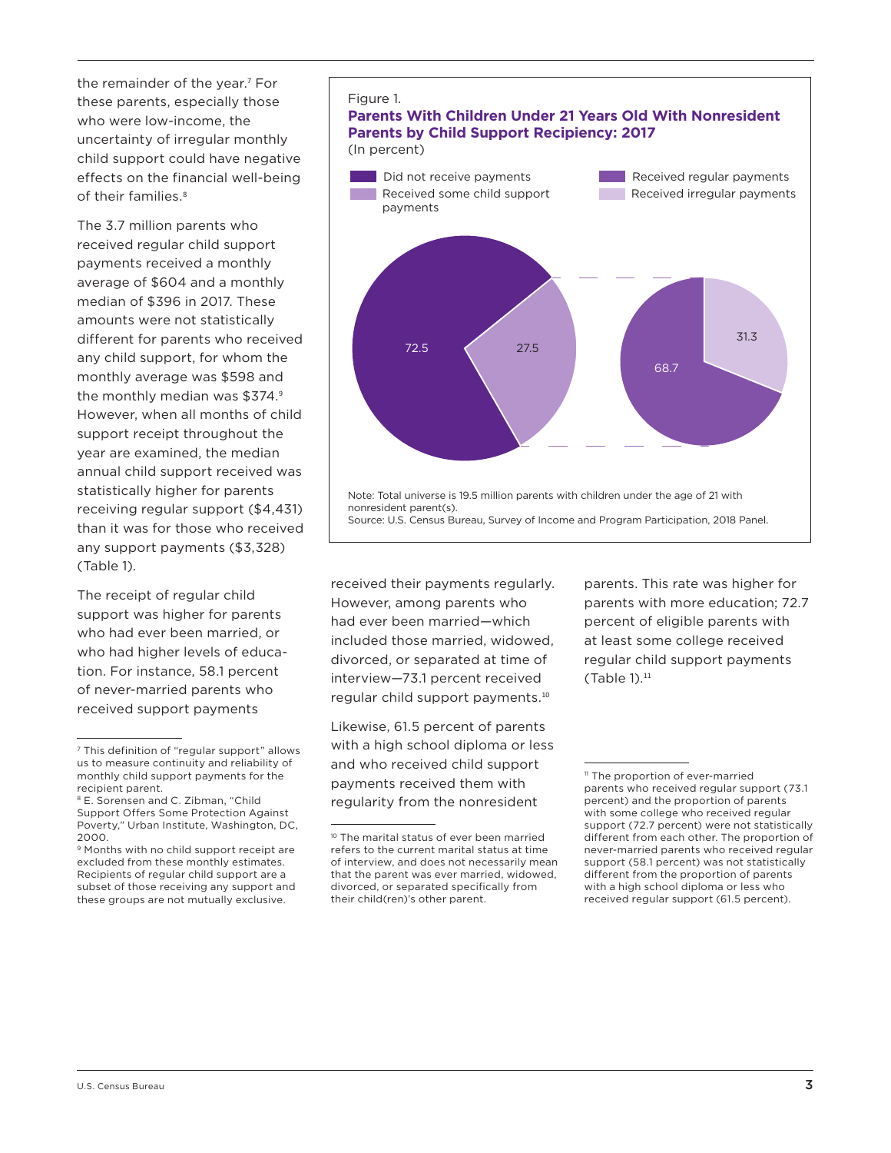the remainder of the year.<sup>7</sup> For these parents, especially those who were low-income, the uncertainty of irregular monthly child support could have negative effects on the financial well-being of their families<sup>8</sup>

The 3.7 million parents who received regular child support payments received a monthly average of \$604 and a monthly median of \$396 in 2017. These amounts were not statistically different for parents who received any child support, for whom the monthly average was \$598 and the monthly median was \$374.9 However, when all months of child support receipt throughout the year are examined, the median annual child support received was statistically higher for parents receiving regular support (\$4,431) than it was for those who received any support payments (\$3,328) (Table 1).

The receipt of regular child support was higher for parents who had ever been married, or who had higher levels of education. For instance, 58.1 percent of never-married parents who received support payments



## **Parents With Children Under 21 Years Old With Nonresident Parents by Child Support Recipiency: 2017** (In percent)



received their payments regularly. However, among parents who had ever been married—which included those married, widowed, divorced, or separated at time of interview—73.1 percent received regular child support payments.<sup>10</sup>

Likewise, 61.5 percent of parents with a high school diploma or less and who received child support payments received them with regularity from the nonresident

parents. This rate was higher for parents with more education; 72.7 percent of eligible parents with at least some college received regular child support payments  $(Table 1).<sup>11</sup>$ 

<sup>7</sup> This definition of "regular support" allows us to measure continuity and reliability of monthly child support payments for the recipient parent.

<sup>&</sup>lt;sup>8</sup> E. Sorensen and C. Zibman, "Child Support Offers Some Protection Against Poverty," Urban Institute, Washington, DC, 2000.

<sup>&</sup>lt;sup>9</sup> Months with no child support receipt are excluded from these monthly estimates. Recipients of regular child support are a subset of those receiving any support and these groups are not mutually exclusive.

<sup>10</sup> The marital status of ever been married refers to the current marital status at time of interview, and does not necessarily mean that the parent was ever married, widowed, divorced, or separated specifically from their child(ren)'s other parent.

<sup>&</sup>lt;sup>11</sup> The proportion of ever-married parents who received regular support (73.1 percent) and the proportion of parents with some college who received regular support (72.7 percent) were not statistically different from each other. The proportion of never-married parents who received regular support (58.1 percent) was not statistically different from the proportion of parents with a high school diploma or less who received regular support (61.5 percent).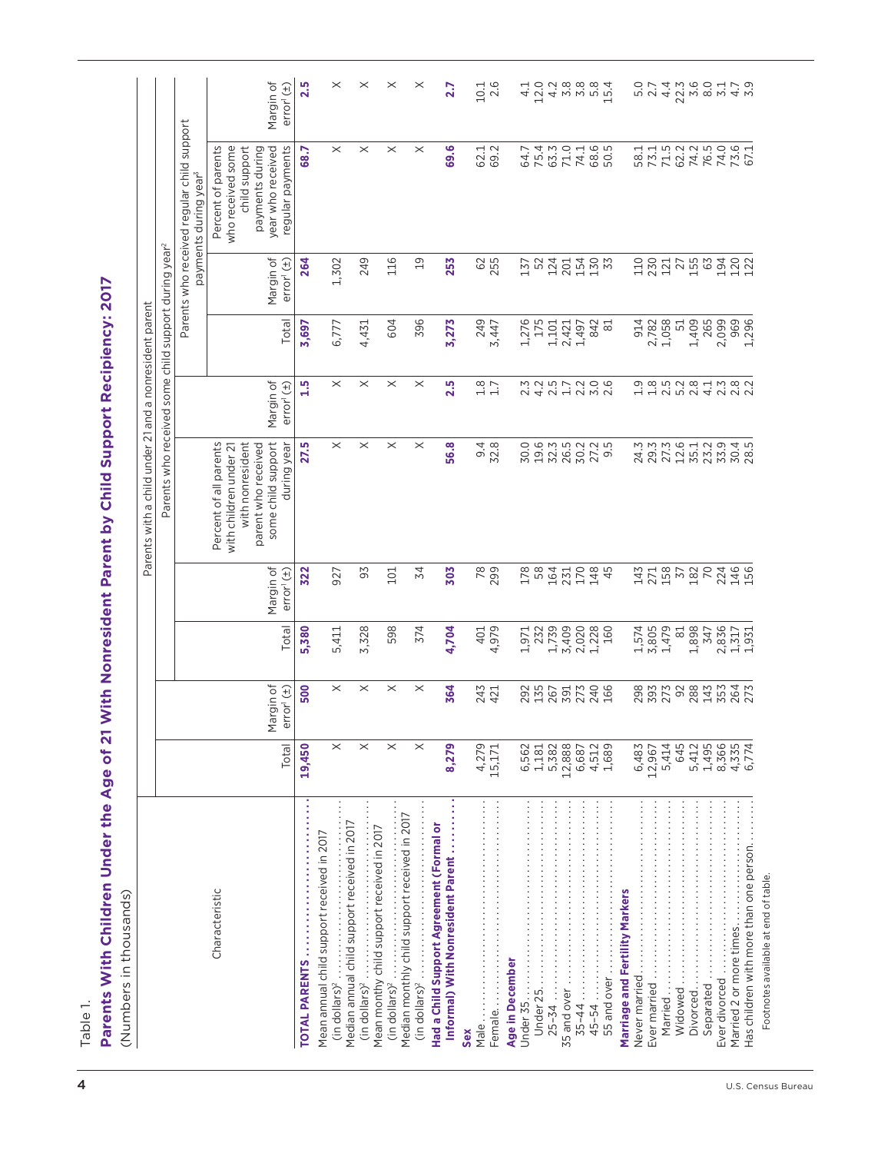| $10.1$<br>$2.6$<br>2<br>2001<br>2012<br>20<br>$4.4$<br>22.3<br>Parents who received regular child support<br>$\times$<br>who received some<br>year who received<br>regular payments<br>$\boldsymbol{\times}$<br>$\boldsymbol{\times}$<br>$\times$<br>69.6<br>58 7 7 9 7 9 7<br>5 7 7 9 7 9 9<br>5 7 7 9 7 9 9<br>74.0<br>73.6<br>67.1<br>Percent of parents<br>child support<br>payments during<br>62.1<br>69.2<br>75.4<br>63.3<br>$71.0$<br>$74.1$<br>68.5<br>50.5<br>68.7<br>64.7<br>payments during year <sup>3</sup><br>Parents who received some child support during year <sup>2</sup><br>Margin of<br>264<br>1,302<br>249<br>116<br>$\overline{c}$<br>62<br>255<br>124<br>155<br>63<br>194<br>120<br>error <sup>1</sup> (±)<br>253<br>154<br>130<br>110<br>230<br>121<br>27<br>137<br>52<br>201<br>1,409<br>265<br>Total<br>604<br>396<br>249<br>1,276<br>175<br>1,058<br>2,099<br>969<br>6,777<br>3,273<br>1,101<br>2,421<br>842<br>914<br>2,782<br>51<br>1,497<br>81<br>3,697<br>4,431<br>3,447<br>Margin of<br>1.5<br>$\times$<br>2.5<br>$1.7$<br>$1.7$<br>$\frac{0}{2}$ .0<br>9852813820 851281 2 8 5 8 5 8 1<br>$\times$<br>$\times$<br>$\times$<br>error <sup>1</sup> (±)<br>some child support<br>$\times$<br>$\boldsymbol{\times}$<br>Percent of all parents<br>parent who received<br>$\times$<br>$\times$<br>24.37.21<br>20.72.21<br>33.9<br>with nonresident<br>during year<br>27.5<br>56.8<br>$\frac{3}{2}$ .8<br>30.0<br>19.6<br>32.3<br>26.5<br>30.2<br>27.2<br>9.5<br>35.1<br>23.2<br>30.4<br>28.5<br>with children under 21<br>Margin of<br>78<br>299<br>178<br>58<br>164<br>147<br>2718<br>197<br>182<br>70<br>224<br>146<br>156<br>322<br>93<br>101<br>34<br>303<br><b>231</b><br>170<br>148<br>45<br>error <sup>1</sup> (±)<br>927<br>1,739<br>3,409<br>2,020<br>1,479<br>1,898<br>2,836<br>Total<br>5,380<br>5,411<br>3,328<br>598<br>374<br>4,704<br>4,979<br>232<br>1,228<br>160<br>1,574<br>3,805<br>81<br>401<br>1,971<br>347<br>1,317<br>Margin of<br>$\times$<br>500<br>$\times$<br>$\times$<br>$\times$<br>364<br>288<br>243<br>292<br>135<br>273<br>240<br>166<br>298<br>393<br>273<br>92<br>143<br>353<br>264<br>error <sup>1</sup> (±)<br>267<br>391<br>421<br>$\times$<br>$\times$<br>$\times$<br>$\times$<br>8,366<br>Total<br>19,450<br>8,279<br>4,279<br>5,382<br>12,888<br>4,512<br>5,414<br>645<br>5,412<br>1,495<br>4,335<br>15,171<br>6,562<br>1,181<br>1,689<br>6,483<br>12,967<br>6,687<br>Median monthly child support received in 2017<br>Median annual child support received in 2017<br>Had a Child Support Agreement (Formal or<br>Mean monthy child support received in 2017<br>Mean annual child support received in 2017<br>Informal) With Nonresident Parent<br>Never married<br>55 and over<br>Characteristic<br>Marriage and Fertility Markers<br>$(in dollars)^2$<br>Age in December<br>$25 - 34$<br><b>TOTAL PARENTS</b><br>Married<br>(in dollars) <sup>2</sup><br>Separated<br>(in dollars) <sup>2</sup><br>Widowed<br>Sex |                                        |       |     |       | Parents with a child under 21 and | a nonresident parent |     |                       |
|------------------------------------------------------------------------------------------------------------------------------------------------------------------------------------------------------------------------------------------------------------------------------------------------------------------------------------------------------------------------------------------------------------------------------------------------------------------------------------------------------------------------------------------------------------------------------------------------------------------------------------------------------------------------------------------------------------------------------------------------------------------------------------------------------------------------------------------------------------------------------------------------------------------------------------------------------------------------------------------------------------------------------------------------------------------------------------------------------------------------------------------------------------------------------------------------------------------------------------------------------------------------------------------------------------------------------------------------------------------------------------------------------------------------------------------------------------------------------------------------------------------------------------------------------------------------------------------------------------------------------------------------------------------------------------------------------------------------------------------------------------------------------------------------------------------------------------------------------------------------------------------------------------------------------------------------------------------------------------------------------------------------------------------------------------------------------------------------------------------------------------------------------------------------------------------------------------------------------------------------------------------------------------------------------------------------------------------------------------------------------------------------------------------------------------------------------------------------------------------------------------------------------------------------------------------------------------------------------------------------------------------------------------------------------------------------------------------------------------------------------------------------------------------------------------------------------------------------------------------------------------------------------------------------------------------------------------------------------------------|----------------------------------------|-------|-----|-------|-----------------------------------|----------------------|-----|-----------------------|
|                                                                                                                                                                                                                                                                                                                                                                                                                                                                                                                                                                                                                                                                                                                                                                                                                                                                                                                                                                                                                                                                                                                                                                                                                                                                                                                                                                                                                                                                                                                                                                                                                                                                                                                                                                                                                                                                                                                                                                                                                                                                                                                                                                                                                                                                                                                                                                                                                                                                                                                                                                                                                                                                                                                                                                                                                                                                                                                                                                                          |                                        |       |     |       |                                   |                      |     |                       |
|                                                                                                                                                                                                                                                                                                                                                                                                                                                                                                                                                                                                                                                                                                                                                                                                                                                                                                                                                                                                                                                                                                                                                                                                                                                                                                                                                                                                                                                                                                                                                                                                                                                                                                                                                                                                                                                                                                                                                                                                                                                                                                                                                                                                                                                                                                                                                                                                                                                                                                                                                                                                                                                                                                                                                                                                                                                                                                                                                                                          |                                        |       |     |       |                                   |                      |     |                       |
|                                                                                                                                                                                                                                                                                                                                                                                                                                                                                                                                                                                                                                                                                                                                                                                                                                                                                                                                                                                                                                                                                                                                                                                                                                                                                                                                                                                                                                                                                                                                                                                                                                                                                                                                                                                                                                                                                                                                                                                                                                                                                                                                                                                                                                                                                                                                                                                                                                                                                                                                                                                                                                                                                                                                                                                                                                                                                                                                                                                          |                                        |       |     |       |                                   |                      |     | Margin of<br>error(1) |
|                                                                                                                                                                                                                                                                                                                                                                                                                                                                                                                                                                                                                                                                                                                                                                                                                                                                                                                                                                                                                                                                                                                                                                                                                                                                                                                                                                                                                                                                                                                                                                                                                                                                                                                                                                                                                                                                                                                                                                                                                                                                                                                                                                                                                                                                                                                                                                                                                                                                                                                                                                                                                                                                                                                                                                                                                                                                                                                                                                                          |                                        |       |     |       |                                   |                      |     | 2.5                   |
|                                                                                                                                                                                                                                                                                                                                                                                                                                                                                                                                                                                                                                                                                                                                                                                                                                                                                                                                                                                                                                                                                                                                                                                                                                                                                                                                                                                                                                                                                                                                                                                                                                                                                                                                                                                                                                                                                                                                                                                                                                                                                                                                                                                                                                                                                                                                                                                                                                                                                                                                                                                                                                                                                                                                                                                                                                                                                                                                                                                          |                                        |       |     |       |                                   |                      |     | $\times$              |
|                                                                                                                                                                                                                                                                                                                                                                                                                                                                                                                                                                                                                                                                                                                                                                                                                                                                                                                                                                                                                                                                                                                                                                                                                                                                                                                                                                                                                                                                                                                                                                                                                                                                                                                                                                                                                                                                                                                                                                                                                                                                                                                                                                                                                                                                                                                                                                                                                                                                                                                                                                                                                                                                                                                                                                                                                                                                                                                                                                                          |                                        |       |     |       |                                   |                      |     | $\times$              |
|                                                                                                                                                                                                                                                                                                                                                                                                                                                                                                                                                                                                                                                                                                                                                                                                                                                                                                                                                                                                                                                                                                                                                                                                                                                                                                                                                                                                                                                                                                                                                                                                                                                                                                                                                                                                                                                                                                                                                                                                                                                                                                                                                                                                                                                                                                                                                                                                                                                                                                                                                                                                                                                                                                                                                                                                                                                                                                                                                                                          |                                        |       |     |       |                                   |                      |     |                       |
|                                                                                                                                                                                                                                                                                                                                                                                                                                                                                                                                                                                                                                                                                                                                                                                                                                                                                                                                                                                                                                                                                                                                                                                                                                                                                                                                                                                                                                                                                                                                                                                                                                                                                                                                                                                                                                                                                                                                                                                                                                                                                                                                                                                                                                                                                                                                                                                                                                                                                                                                                                                                                                                                                                                                                                                                                                                                                                                                                                                          |                                        |       |     |       |                                   |                      |     | $\times$<br>$\times$  |
|                                                                                                                                                                                                                                                                                                                                                                                                                                                                                                                                                                                                                                                                                                                                                                                                                                                                                                                                                                                                                                                                                                                                                                                                                                                                                                                                                                                                                                                                                                                                                                                                                                                                                                                                                                                                                                                                                                                                                                                                                                                                                                                                                                                                                                                                                                                                                                                                                                                                                                                                                                                                                                                                                                                                                                                                                                                                                                                                                                                          |                                        |       |     |       |                                   |                      |     | 2.7                   |
|                                                                                                                                                                                                                                                                                                                                                                                                                                                                                                                                                                                                                                                                                                                                                                                                                                                                                                                                                                                                                                                                                                                                                                                                                                                                                                                                                                                                                                                                                                                                                                                                                                                                                                                                                                                                                                                                                                                                                                                                                                                                                                                                                                                                                                                                                                                                                                                                                                                                                                                                                                                                                                                                                                                                                                                                                                                                                                                                                                                          |                                        |       |     |       |                                   |                      |     |                       |
|                                                                                                                                                                                                                                                                                                                                                                                                                                                                                                                                                                                                                                                                                                                                                                                                                                                                                                                                                                                                                                                                                                                                                                                                                                                                                                                                                                                                                                                                                                                                                                                                                                                                                                                                                                                                                                                                                                                                                                                                                                                                                                                                                                                                                                                                                                                                                                                                                                                                                                                                                                                                                                                                                                                                                                                                                                                                                                                                                                                          |                                        |       |     |       |                                   |                      |     |                       |
|                                                                                                                                                                                                                                                                                                                                                                                                                                                                                                                                                                                                                                                                                                                                                                                                                                                                                                                                                                                                                                                                                                                                                                                                                                                                                                                                                                                                                                                                                                                                                                                                                                                                                                                                                                                                                                                                                                                                                                                                                                                                                                                                                                                                                                                                                                                                                                                                                                                                                                                                                                                                                                                                                                                                                                                                                                                                                                                                                                                          |                                        |       |     |       |                                   |                      |     | 12.0<br>4.1           |
|                                                                                                                                                                                                                                                                                                                                                                                                                                                                                                                                                                                                                                                                                                                                                                                                                                                                                                                                                                                                                                                                                                                                                                                                                                                                                                                                                                                                                                                                                                                                                                                                                                                                                                                                                                                                                                                                                                                                                                                                                                                                                                                                                                                                                                                                                                                                                                                                                                                                                                                                                                                                                                                                                                                                                                                                                                                                                                                                                                                          |                                        |       |     |       |                                   |                      |     | $4.888$<br>$4.88$     |
|                                                                                                                                                                                                                                                                                                                                                                                                                                                                                                                                                                                                                                                                                                                                                                                                                                                                                                                                                                                                                                                                                                                                                                                                                                                                                                                                                                                                                                                                                                                                                                                                                                                                                                                                                                                                                                                                                                                                                                                                                                                                                                                                                                                                                                                                                                                                                                                                                                                                                                                                                                                                                                                                                                                                                                                                                                                                                                                                                                                          |                                        |       |     |       |                                   |                      |     |                       |
|                                                                                                                                                                                                                                                                                                                                                                                                                                                                                                                                                                                                                                                                                                                                                                                                                                                                                                                                                                                                                                                                                                                                                                                                                                                                                                                                                                                                                                                                                                                                                                                                                                                                                                                                                                                                                                                                                                                                                                                                                                                                                                                                                                                                                                                                                                                                                                                                                                                                                                                                                                                                                                                                                                                                                                                                                                                                                                                                                                                          |                                        |       |     |       |                                   |                      |     | $5.8$<br>15.4         |
|                                                                                                                                                                                                                                                                                                                                                                                                                                                                                                                                                                                                                                                                                                                                                                                                                                                                                                                                                                                                                                                                                                                                                                                                                                                                                                                                                                                                                                                                                                                                                                                                                                                                                                                                                                                                                                                                                                                                                                                                                                                                                                                                                                                                                                                                                                                                                                                                                                                                                                                                                                                                                                                                                                                                                                                                                                                                                                                                                                                          |                                        |       |     |       |                                   |                      |     |                       |
|                                                                                                                                                                                                                                                                                                                                                                                                                                                                                                                                                                                                                                                                                                                                                                                                                                                                                                                                                                                                                                                                                                                                                                                                                                                                                                                                                                                                                                                                                                                                                                                                                                                                                                                                                                                                                                                                                                                                                                                                                                                                                                                                                                                                                                                                                                                                                                                                                                                                                                                                                                                                                                                                                                                                                                                                                                                                                                                                                                                          |                                        |       |     |       |                                   |                      |     | $5.0$<br>2.7          |
|                                                                                                                                                                                                                                                                                                                                                                                                                                                                                                                                                                                                                                                                                                                                                                                                                                                                                                                                                                                                                                                                                                                                                                                                                                                                                                                                                                                                                                                                                                                                                                                                                                                                                                                                                                                                                                                                                                                                                                                                                                                                                                                                                                                                                                                                                                                                                                                                                                                                                                                                                                                                                                                                                                                                                                                                                                                                                                                                                                                          |                                        |       |     |       |                                   |                      |     |                       |
|                                                                                                                                                                                                                                                                                                                                                                                                                                                                                                                                                                                                                                                                                                                                                                                                                                                                                                                                                                                                                                                                                                                                                                                                                                                                                                                                                                                                                                                                                                                                                                                                                                                                                                                                                                                                                                                                                                                                                                                                                                                                                                                                                                                                                                                                                                                                                                                                                                                                                                                                                                                                                                                                                                                                                                                                                                                                                                                                                                                          |                                        |       |     |       |                                   |                      |     |                       |
|                                                                                                                                                                                                                                                                                                                                                                                                                                                                                                                                                                                                                                                                                                                                                                                                                                                                                                                                                                                                                                                                                                                                                                                                                                                                                                                                                                                                                                                                                                                                                                                                                                                                                                                                                                                                                                                                                                                                                                                                                                                                                                                                                                                                                                                                                                                                                                                                                                                                                                                                                                                                                                                                                                                                                                                                                                                                                                                                                                                          |                                        |       |     |       |                                   |                      |     |                       |
|                                                                                                                                                                                                                                                                                                                                                                                                                                                                                                                                                                                                                                                                                                                                                                                                                                                                                                                                                                                                                                                                                                                                                                                                                                                                                                                                                                                                                                                                                                                                                                                                                                                                                                                                                                                                                                                                                                                                                                                                                                                                                                                                                                                                                                                                                                                                                                                                                                                                                                                                                                                                                                                                                                                                                                                                                                                                                                                                                                                          |                                        |       |     |       |                                   |                      |     |                       |
|                                                                                                                                                                                                                                                                                                                                                                                                                                                                                                                                                                                                                                                                                                                                                                                                                                                                                                                                                                                                                                                                                                                                                                                                                                                                                                                                                                                                                                                                                                                                                                                                                                                                                                                                                                                                                                                                                                                                                                                                                                                                                                                                                                                                                                                                                                                                                                                                                                                                                                                                                                                                                                                                                                                                                                                                                                                                                                                                                                                          |                                        |       |     |       |                                   |                      |     |                       |
|                                                                                                                                                                                                                                                                                                                                                                                                                                                                                                                                                                                                                                                                                                                                                                                                                                                                                                                                                                                                                                                                                                                                                                                                                                                                                                                                                                                                                                                                                                                                                                                                                                                                                                                                                                                                                                                                                                                                                                                                                                                                                                                                                                                                                                                                                                                                                                                                                                                                                                                                                                                                                                                                                                                                                                                                                                                                                                                                                                                          | Has children with more than one person | 6,774 | 273 | 1,931 |                                   | 1,296                | 122 |                       |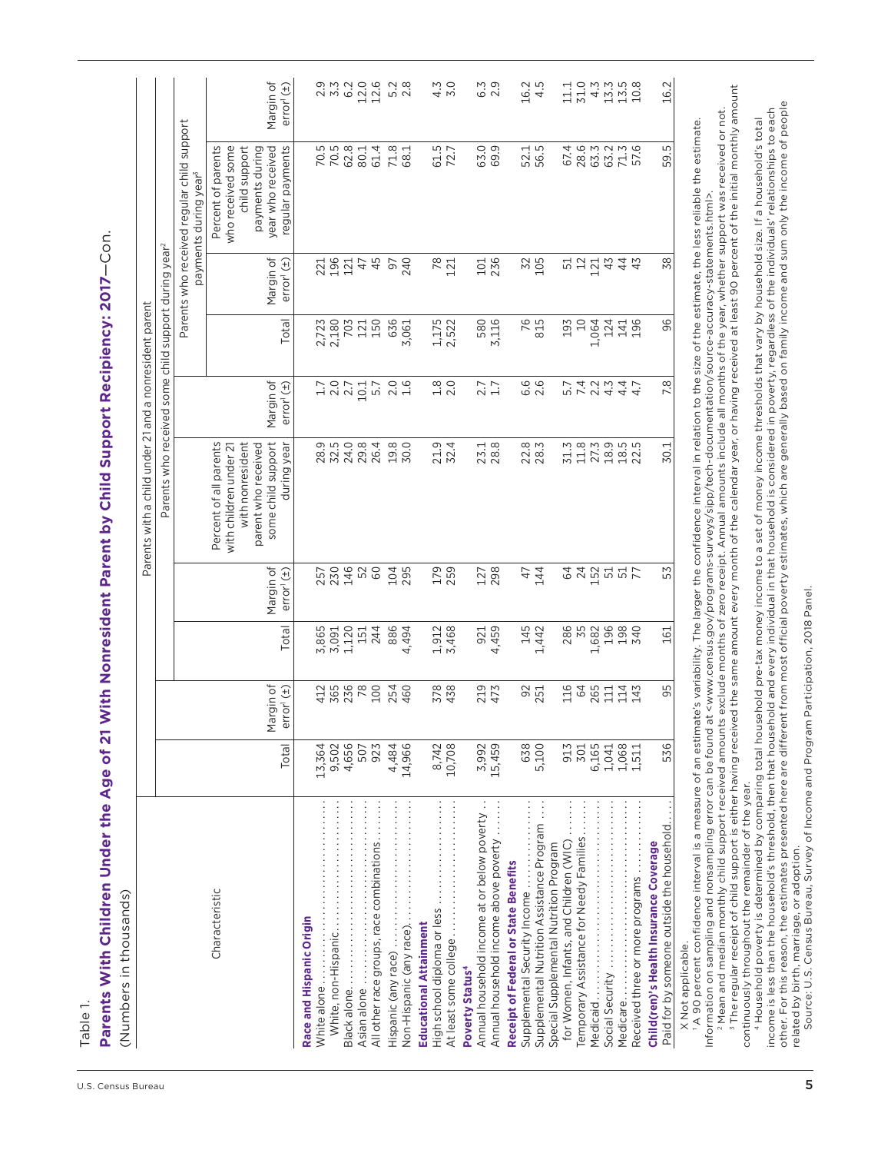Table 1.

Parents With Children Under the Age of 21 With Nonresident Parent by Child Support Recipiency: 2017-Con. **Parents With Children Under the Age of 21 With Nonresident Parent by Child Support Recipiency: 2017**—Con. (Numbers in thousands) (Numbers in thousands)

|                                                                                                                                                                                                               |                 |                                     |                   |                                                                  | Parents with a child under 21 and a nonresident parent                                                                           |                                     |                       |                                     |                                                                                                                      |                                                                                                                                   |
|---------------------------------------------------------------------------------------------------------------------------------------------------------------------------------------------------------------|-----------------|-------------------------------------|-------------------|------------------------------------------------------------------|----------------------------------------------------------------------------------------------------------------------------------|-------------------------------------|-----------------------|-------------------------------------|----------------------------------------------------------------------------------------------------------------------|-----------------------------------------------------------------------------------------------------------------------------------|
|                                                                                                                                                                                                               |                 |                                     |                   |                                                                  | Parents who received some child support during year <sup>2</sup>                                                                 |                                     |                       |                                     |                                                                                                                      |                                                                                                                                   |
|                                                                                                                                                                                                               |                 |                                     |                   |                                                                  |                                                                                                                                  |                                     |                       |                                     | Parents who received regular child support<br>payments during year <sup>3</sup>                                      |                                                                                                                                   |
| Characteristic                                                                                                                                                                                                | Total           | Margin of<br>error <sup>1</sup> (±) | <b>Total</b>      | Margin of<br>error <sup>1</sup> (±)                              | Percent of all parents<br>with nonresident<br>some child support<br>parent who received<br>during year<br>with children under 21 | Margin of<br>error <sup>1</sup> (±) | Total                 | Margin of<br>error <sup>1</sup> (±) | Percent of parents<br>who received some<br>regular payments<br>child support<br>payments during<br>year who received | Margin of<br>error(1)                                                                                                             |
| Race and Hispanic Origin<br>White alone.                                                                                                                                                                      | 13,364          |                                     | 3,865             |                                                                  |                                                                                                                                  |                                     |                       |                                     |                                                                                                                      |                                                                                                                                   |
|                                                                                                                                                                                                               | 9,502<br>4,656  | 4165<br>565<br>78                   | 1,120<br>3,091    | 257<br>234<br>24<br>25<br>26<br>25<br>25<br>25<br>25<br>20<br>20 | 9<br>8 2 3 4 9 6<br>9 8 7 9 8 9                                                                                                  | 1.00011                             | 2,723<br>2,180<br>703 | 2324<br>2324                        | 7 7 8 9 9 1 4<br>7 9 9 9 1 4<br>7 9 9 9 1                                                                            |                                                                                                                                   |
|                                                                                                                                                                                                               | 507             |                                     | 151               |                                                                  |                                                                                                                                  |                                     | 121                   |                                     |                                                                                                                      |                                                                                                                                   |
| All other race groups, race combinations                                                                                                                                                                      | 923             | 100                                 | 244               |                                                                  |                                                                                                                                  |                                     | 150                   | 45                                  |                                                                                                                      |                                                                                                                                   |
|                                                                                                                                                                                                               | 4,484           | 254<br>460                          | 886<br>4,494      | 104<br>295                                                       | 19.8<br>30.0                                                                                                                     | $2.0$<br>$1.6$                      | 636<br>3,061          | 240<br>57                           | $71.8$<br>68.1                                                                                                       | $5.\overline{2}$<br>2.8                                                                                                           |
| <b>Educational Attainment</b>                                                                                                                                                                                 | 14,966          |                                     |                   |                                                                  |                                                                                                                                  |                                     |                       |                                     |                                                                                                                      |                                                                                                                                   |
| High school diploma or less                                                                                                                                                                                   | 8,742           | 378                                 | 1,912<br>3,468    | 179                                                              | 21.9<br>32.4                                                                                                                     | $\frac{8}{2}$ .0                    | 1,175<br>2,522        | 78<br>121                           | 61.5<br>72.7                                                                                                         | 4.3                                                                                                                               |
|                                                                                                                                                                                                               | 10,708          | 438                                 |                   |                                                                  |                                                                                                                                  |                                     |                       |                                     |                                                                                                                      | 5.0                                                                                                                               |
| Poverty Status <sup>4</sup>                                                                                                                                                                                   |                 |                                     |                   |                                                                  |                                                                                                                                  |                                     |                       |                                     |                                                                                                                      |                                                                                                                                   |
| Annual household income at or below poverty<br>Annual household income above poverty                                                                                                                          | 3,992<br>15,459 | 219<br>473                          | 921<br>4,459      | 127<br>298                                                       | 23.1<br>28.8                                                                                                                     | $2.7$<br>$1.7$                      | 580<br>3,116          | 101                                 | 63.9                                                                                                                 | $6.\overline{3}$<br>2.9                                                                                                           |
| <b>Receipt of Federal or State Benefits</b>                                                                                                                                                                   |                 |                                     |                   |                                                                  |                                                                                                                                  |                                     |                       |                                     |                                                                                                                      |                                                                                                                                   |
| Supplemental Security Income                                                                                                                                                                                  | 638             | 92<br>251                           | 145<br>1,442      | 47<br>47<br>47                                                   | 22.8<br>28.3                                                                                                                     | 6.6<br>2.6                          | 76<br>815             | 32<br>105                           | 52.1<br>56.5                                                                                                         | 16.2                                                                                                                              |
| Supplemental Nutrition Assistance Program                                                                                                                                                                     | 5,100           |                                     |                   |                                                                  |                                                                                                                                  |                                     |                       |                                     |                                                                                                                      | 4.5                                                                                                                               |
| for Women, Infants, and Children (WIC)<br>Special Supplemental Nutrition Program                                                                                                                              | 913             | 116                                 |                   |                                                                  |                                                                                                                                  |                                     | 193                   |                                     |                                                                                                                      |                                                                                                                                   |
| Temporary Assistance for Needy Families                                                                                                                                                                       | 301             | 64                                  | 286<br>35         | <b>2425577</b><br>242557                                         | $31.3$<br>$11.8$                                                                                                                 |                                     | $\overline{a}$        | 5221                                | 623<br>635215<br>636575                                                                                              | 11.1<br>31.0                                                                                                                      |
| Medicaid                                                                                                                                                                                                      | 6,165           | 265                                 | 1,682             |                                                                  |                                                                                                                                  |                                     | 1,064                 |                                     |                                                                                                                      |                                                                                                                                   |
|                                                                                                                                                                                                               | 1,041           | $\overline{11}$                     |                   |                                                                  |                                                                                                                                  |                                     | 124                   | 43                                  |                                                                                                                      |                                                                                                                                   |
| Medicare.                                                                                                                                                                                                     | 1,068           | 114                                 | 196<br>198<br>340 |                                                                  | 27.9<br>28.95.9<br>22.92.2                                                                                                       | 4.7                                 | 141<br>196            | 43                                  |                                                                                                                      | $\begin{array}{c}\n 4 \stackrel{11}{\sim} 1 \stackrel{11}{\sim} 0 \\ 1 \stackrel{11}{\sim} 0 \stackrel{11}{\sim} 0\n \end{array}$ |
| Received three or more programs                                                                                                                                                                               | 1,511           | 143                                 |                   |                                                                  |                                                                                                                                  |                                     |                       |                                     |                                                                                                                      |                                                                                                                                   |
| Paid for by someone outside the household.<br>Child(ren)'s Health Insurance Coverage                                                                                                                          | 536             | 95                                  | 161               | 53                                                               | 30.1                                                                                                                             | 7.8                                 | 96                    | 38                                  | 59.5                                                                                                                 | 16.2                                                                                                                              |
| l A 90 percent confidence interval is a measure of an estimate's variability. The larger the confidence interval in relation to the size of the estimate. The less reliable the estimate<br>X Not applicable. |                 |                                     |                   |                                                                  |                                                                                                                                  |                                     |                       |                                     |                                                                                                                      |                                                                                                                                   |

1 A 90 percent confidence interval is a measure of an estimate's variability. The larger the confidence interval in relation to the size of the estimate, the less reliable the estimate. Information on sampling and nonsampling error can be found at <www.census.gov/programs-surveys/sipp/tech-documentation/source-accuracy-statements.html>. Information on sampling and nonsampling error can be found at <www.census.gov/programs-surveys/sipp/tech-documentation/source-accuracy-statements.html>.

<sup>3</sup> The regular receipt of child support is either having received the same amount every month of the calendar year, or having received at least 90 percent of the initial monthly amount  $^3$  The regular receipt of child support is either having received the same amount every month of the calendar year, or having received at least 90 percent of the initial monthly amount ? Mean and median monthly child support received amounts exclude months of zero receipt. Annual amounts include all months of the year, whether support was received or not. 2 Mean and median monthly child support received amounts exclude months of zero receipt. Annual amounts include all months of the year, whether support was received or not.

continuously throughout the remainder of the year. continuously throughout the remainder of the year.

other. For this reason, the estimates presented here are different from most official poverty estimates, which are generally based on family income and sum only the income of people income is less than the household's threshold, then that household and every individual in that household is considered in poverty, regardless of the individuals' relationships to each 4 Household poverty is determined by comparing total household pre-tax money income to a set of money income thresholds that vary by household size. If a household's total related by birth, marriage, or adoption.

Source: U.S. Census Bureau, Survey of Income and Program Participation, 2018 Panel. Source: U.S. Census Bureau, Survey of Income and Program Participation, 2018 Panel.